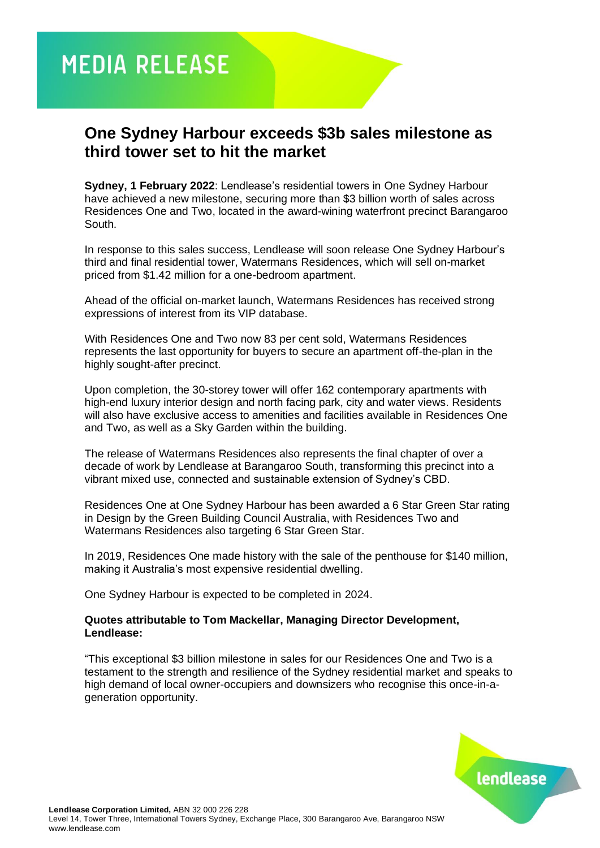**MEDIA RELEASE** 

## **One Sydney Harbour exceeds \$3b sales milestone as third tower set to hit the market**

**Sydney, 1 February 2022**: Lendlease's residential towers in One Sydney Harbour have achieved a new milestone, securing more than \$3 billion worth of sales across Residences One and Two, located in the award-wining waterfront precinct Barangaroo South.

In response to this sales success, Lendlease will soon release One Sydney Harbour's third and final residential tower, Watermans Residences, which will sell on-market priced from \$1.42 million for a one-bedroom apartment.

Ahead of the official on-market launch, Watermans Residences has received strong expressions of interest from its VIP database.

With Residences One and Two now 83 per cent sold, Watermans Residences represents the last opportunity for buyers to secure an apartment off-the-plan in the highly sought-after precinct.

Upon completion, the 30-storey tower will offer 162 contemporary apartments with high-end luxury interior design and north facing park, city and water views. Residents will also have exclusive access to amenities and facilities available in Residences One and Two, as well as a Sky Garden within the building.

The release of Watermans Residences also represents the final chapter of over a decade of work by Lendlease at Barangaroo South, transforming this precinct into a vibrant mixed use, connected and sustainable extension of Sydney's CBD.

Residences One at One Sydney Harbour has been awarded a 6 Star Green Star rating in Design by the Green Building Council Australia, with Residences Two and Watermans Residences also targeting 6 Star Green Star.

In 2019, Residences One made history with the sale of the penthouse for \$140 million, making it Australia's most expensive residential dwelling.

One Sydney Harbour is expected to be completed in 2024.

## **Quotes attributable to Tom Mackellar, Managing Director Development, Lendlease:**

"This exceptional \$3 billion milestone in sales for our Residences One and Two is a testament to the strength and resilience of the Sydney residential market and speaks to high demand of local owner-occupiers and downsizers who recognise this once-in-ageneration opportunity.

lendlease